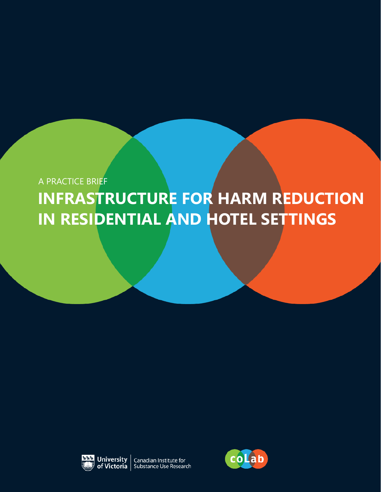**INFRASTRUCTURE FOR HARM REDUCTION IN RESIDENTIAL AND HOTEL SETTINGS**  A PRACTICE BRIEF



Canadian Institute for of Victoria | Substance Use Research

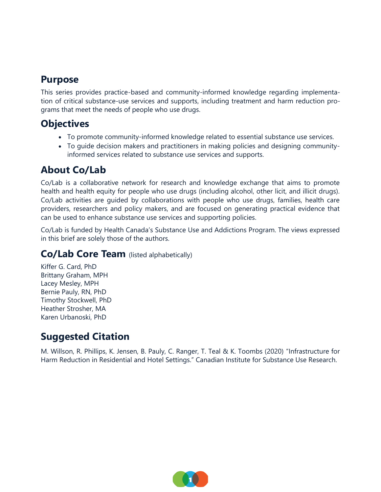## **Purpose**

This series provides practice-based and community-informed knowledge regarding implementation of critical substance-use services and supports, including treatment and harm reduction programs that meet the needs of people who use drugs.

## **Objectives**

- To promote community-informed knowledge related to essential substance use services.
- To guide decision makers and practitioners in making policies and designing communityinformed services related to substance use services and supports.

# **About Co/Lab**

Co/Lab is a collaborative network for research and knowledge exchange that aims to promote health and health equity for people who use drugs (including alcohol, other licit, and illicit drugs). Co/Lab activities are guided by collaborations with people who use drugs, families, health care providers, researchers and policy makers, and are focused on generating practical evidence that can be used to enhance substance use services and supporting policies.

Co/Lab is funded by Health Canada's Substance Use and Addictions Program. The views expressed in this brief are solely those of the authors.

### **Co/Lab Core Team** (listed alphabetically)

Kiffer G. Card, PhD Brittany Graham, MPH Lacey Mesley, MPH Bernie Pauly, RN, PhD Timothy Stockwell, PhD Heather Strosher, MA Karen Urbanoski, PhD

# **Suggested Citation**

M. Willson, R. Phillips, K. Jensen, B. Pauly, C. Ranger, T. Teal & K. Toombs (2020) "Infrastructure for Harm Reduction in Residential and Hotel Settings." Canadian Institute for Substance Use Research.

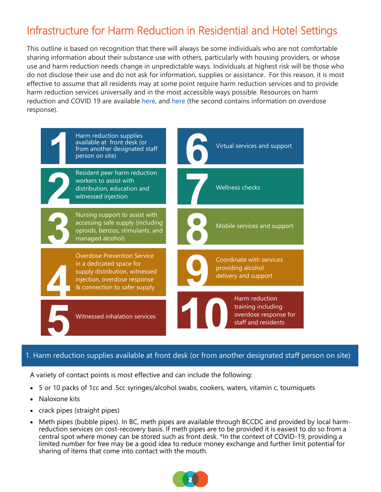# Infrastructure for Harm Reduction in Residential and Hotel Settings

This outline is based on recognition that there will always be some individuals who are not comfortable sharing information about their substance use with others, particularly with housing providers, or whose use and harm reduction needs change in unpredictable ways. Individuals at highest risk will be those who do not disclose their use and do not ask for information, supplies or assistance. For this reason, it is most effective to assume that all residents may at some point require harm reduction services and to provide harm reduction services universally and in the most accessible ways possible. Resources on harm reduction and COVID 19 are available here, and here (the second contains information on overdose response).



#### 1. Harm reduction supplies available at front desk (or from another designated staff person on site)

A variety of contact points is most effective and can include the following:

- 5 or 10 packs of 1cc and .5cc syringes/alcohol swabs, cookers, waters, vitamin c, tourniquets
- Naloxone kits
- crack pipes (straight pipes)
- Meth pipes (bubble pipes). In BC, meth pipes are available through BCCDC and provided by local harmreduction services on cost-recovery basis. If meth pipes are to be provided it is easiest to do so from a central spot where money can be stored such as front desk. \*In the context of COVID-19, providing a limited number for free may be a good idea to reduce money exchange and further limit potential for sharing of items that come into contact with the mouth.

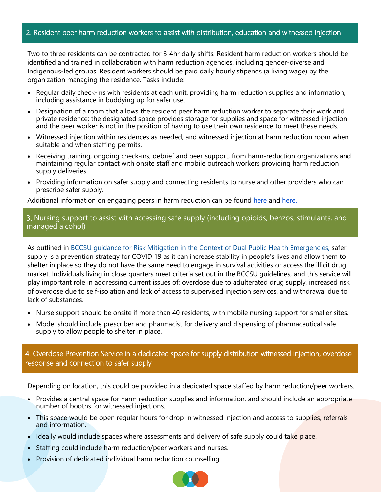#### 2. Resident peer harm reduction workers to assist with distribution, education and witnessed injection

Two to three residents can be contracted for 3-4hr daily shifts. Resident harm reduction workers should be identified and trained in collaboration with harm reduction agencies, including gender-diverse and Indigenous-led groups. Resident workers should be paid daily hourly stipends (a living wage) by the organization managing the residence. Tasks include:

- Regular daily check-ins with residents at each unit, providing harm reduction supplies and information, including assistance in buddying up for safer use.
- Designation of a room that allows the resident peer harm reduction worker to separate their work and private residence; the designated space provides storage for supplies and space for witnessed injection and the peer worker is not in the position of having to use their own residence to meet these needs.
- Witnessed injection within residences as needed, and witnessed injection at harm reduction room when suitable and when staffing permits.
- Receiving training, ongoing check-ins, debrief and peer support, from harm-reduction organizations and maintaining regular contact with onsite staff and mobile outreach workers providing harm reduction supply deliveries.
- Providing information on safer supply and connecting residents to nurse and other providers who can prescribe safer supply.

Additional information on engaging peers in harm reduction can be found here and here.

3. Nursing support to assist with accessing safe supply (including opioids, benzos, stimulants, and managed alcohol)

As outlined in [BCCSU guidance for Risk Mitigation in the Context of Dual Public Health Emergencies,](https://www.bccsu.ca/wp-content/uploads/2020/04/Risk-Mitigation-in-the-Context-of-Dual-Public-Health-Emergencies-v1.5.pdf) safer supply is a prevention strategy for COVID 19 as it can increase stability in people's lives and allow them to shelter in place so they do not have the same need to engage in survival activities or access the illicit drug market. Individuals living in close quarters meet criteria set out in the BCCSU guidelines, and this service will play important role in addressing current issues of: overdose due to adulterated drug supply, increased risk of overdose due to self-isolation and lack of access to supervised injection services, and withdrawal due to lack of substances.

- Nurse support should be onsite if more than 40 residents, with mobile nursing support for smaller sites.
- Model should include prescriber and pharmacist for delivery and dispensing of pharmaceutical safe supply to allow people to shelter in place.

#### 4. Overdose Prevention Service in a dedicated space for supply distribution witnessed injection, overdose response and connection to safer supply

Depending on location, this could be provided in a dedicated space staffed by harm reduction/peer workers.

- Provides a central space for harm reduction supplies and information, and should include an appropriate number of booths for witnessed injections.
- This space would be open regular hours for drop-in witnessed injection and access to supplies, referrals and information.
- Ideally would include spaces where assessments and delivery of safe supply could take place.
- Staffing could include harm reduction/peer workers and nurses.
- Provision of dedicated individual harm reduction counselling.

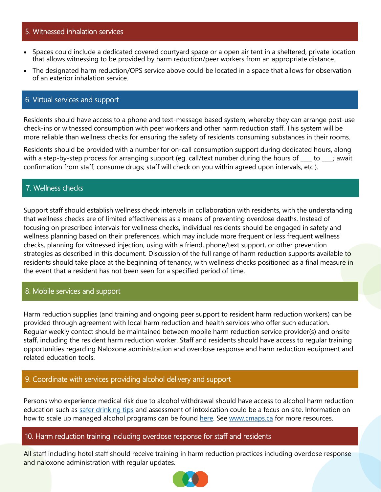#### 5. Witnessed inhalation services

- Spaces could include a dedicated covered courtyard space or a open air tent in a sheltered, private location that allows witnessing to be provided by harm reduction/peer workers from an appropriate distance.
- The designated harm reduction/OPS service above could be located in a space that allows for observation of an exterior inhalation service.

#### 6. Virtual services and support

Residents should have access to a phone and text-message based system, whereby they can arrange post-use check-ins or witnessed consumption with peer workers and other harm reduction staff. This system will be more reliable than wellness checks for ensuring the safety of residents consuming substances in their rooms.

Residents should be provided with a number for on-call consumption support during dedicated hours, along with a step-by-step process for arranging support (eg. call/text number during the hours of  $\_\_$  to  $\_\_$ ; await confirmation from staff; consume drugs; staff will check on you within agreed upon intervals, etc.).

#### 7. Wellness checks

Support staff should establish wellness check intervals in collaboration with residents, with the understanding that wellness checks are of limited effectiveness as a means of preventing overdose deaths. Instead of focusing on prescribed intervals for wellness checks, individual residents should be engaged in safety and wellness planning based on their preferences, which may include more frequent or less frequent wellness checks, planning for witnessed injection, using with a friend, phone/text support, or other prevention strategies as described in this document. Discussion of the full range of harm reduction supports available to residents should take place at the beginning of tenancy, with wellness checks positioned as a final measure in the event that a resident has not been seen for a specified period of time.

#### 8. Mobile services and support

Harm reduction supplies (and training and ongoing peer support to resident harm reduction workers) can be provided through agreement with local harm reduction and health services who offer such education. Regular weekly contact should be maintained between mobile harm reduction service provider(s) and onsite staff, including the resident harm reduction worker. Staff and residents should have access to regular training opportunities regarding Naloxone administration and overdose response and harm reduction equipment and related education tools.

#### 9. Coordinate with services providing alcohol delivery and support

Persons who experience medical risk due to alcohol withdrawal should have access to alcohol harm reduction education such as [safer drinking tips](https://www.uvic.ca/research/centres/cisur/assets/docs/safer-drinking-covid-march-30.pdf) and assessment of intoxication could be a focus on site. Information on how to scale up managed alcohol programs can be found [here.](https://www.uvic.ca/research/centres/cisur/assets/docs/bulletin-20-scale-up-of-maps.pdf) See [www.cmaps.ca](http://www.cmaps.ca) for more resources.

#### 10. Harm reduction training including overdose response for staff and residents

All staff including hotel staff should receive training in harm reduction practices including overdose response and naloxone administration with regular updates.